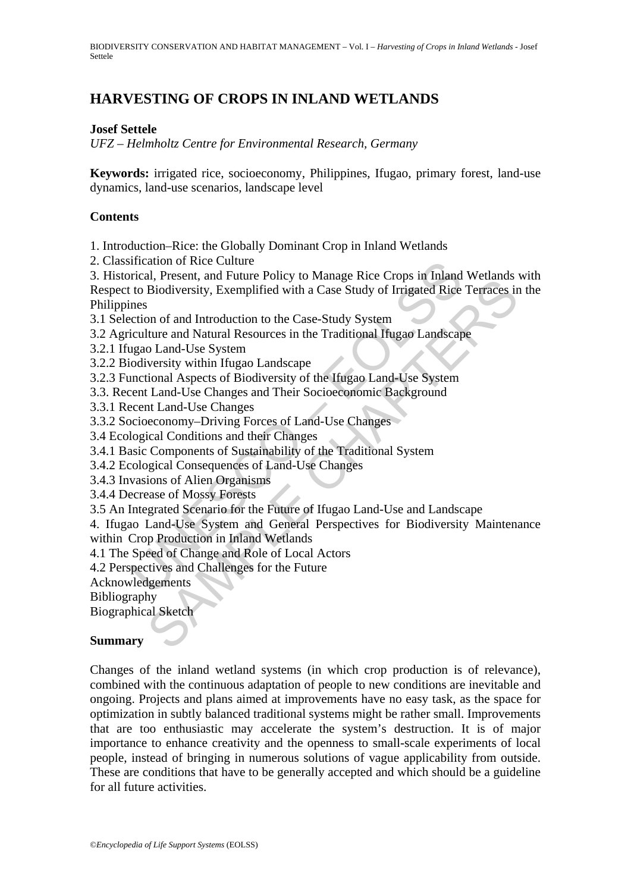BIODIVERSITY CONSERVATION AND HABITAT MANAGEMENT – Vol. I – *Harvesting of Crops in Inland Wetlands* - Josef Settele

# **HARVESTING OF CROPS IN INLAND WETLANDS**

### **Josef Settele**

*UFZ – Helmholtz Centre for Environmental Research, Germany* 

**Keywords:** irrigated rice, socioeconomy, Philippines, Ifugao, primary forest, land-use dynamics, land-use scenarios, landscape level

### **Contents**

1. Introduction–Rice: the Globally Dominant Crop in Inland Wetlands

2. Classification of Rice Culture

ification of Kice Culture<br>
rical, Present, and Future Policy to Manage Rice Crops in Inland<br>
to Biodiversity, Exemplified with a Case Study of Irrigated Rice<br>
to Biodiversity, Exemplified with a Case Study of Irrigated Ric In; rickin, and runch of Michael Corps in minant words.<br>Biodiversity, Exemplified with a Case Study of Irrigated Rice Terraces is<br>iture and Antroduction to the Case-Study System<br>in of and Introduction to the Case-Study Sys 3. Historical, Present, and Future Policy to Manage Rice Crops in Inland Wetlands with Respect to Biodiversity, Exemplified with a Case Study of Irrigated Rice Terraces in the Philippines

- 3.1 Selection of and Introduction to the Case-Study System
- 3.2 Agriculture and Natural Resources in the Traditional Ifugao Landscape
- 3.2.1 Ifugao Land-Use System
- 3.2.2 Biodiversity within Ifugao Landscape
- 3.2.3 Functional Aspects of Biodiversity of the Ifugao Land-Use System
- 3.3. Recent Land-Use Changes and Their Socioeconomic Background
- 3.3.1 Recent Land-Use Changes
- 3.3.2 Socioeconomy–Driving Forces of Land-Use Changes
- 3.4 Ecological Conditions and their Changes
- 3.4.1 Basic Components of Sustainability of the Traditional System
- 3.4.2 Ecological Consequences of Land-Use Changes
- 3.4.3 Invasions of Alien Organisms
- 3.4.4 Decrease of Mossy Forests
- 3.5 An Integrated Scenario for the Future of Ifugao Land-Use and Landscape

4. Ifugao Land-Use System and General Perspectives for Biodiversity Maintenance within Crop Production in Inland Wetlands

- 4.1 The Speed of Change and Role of Local Actors
- 4.2 Perspectives and Challenges for the Future

Acknowledgements

Bibliography

Biographical Sketch

#### **Summary**

Changes of the inland wetland systems (in which crop production is of relevance), combined with the continuous adaptation of people to new conditions are inevitable and ongoing. Projects and plans aimed at improvements have no easy task, as the space for optimization in subtly balanced traditional systems might be rather small. Improvements that are too enthusiastic may accelerate the system's destruction. It is of major importance to enhance creativity and the openness to small-scale experiments of local people, instead of bringing in numerous solutions of vague applicability from outside. These are conditions that have to be generally accepted and which should be a guideline for all future activities.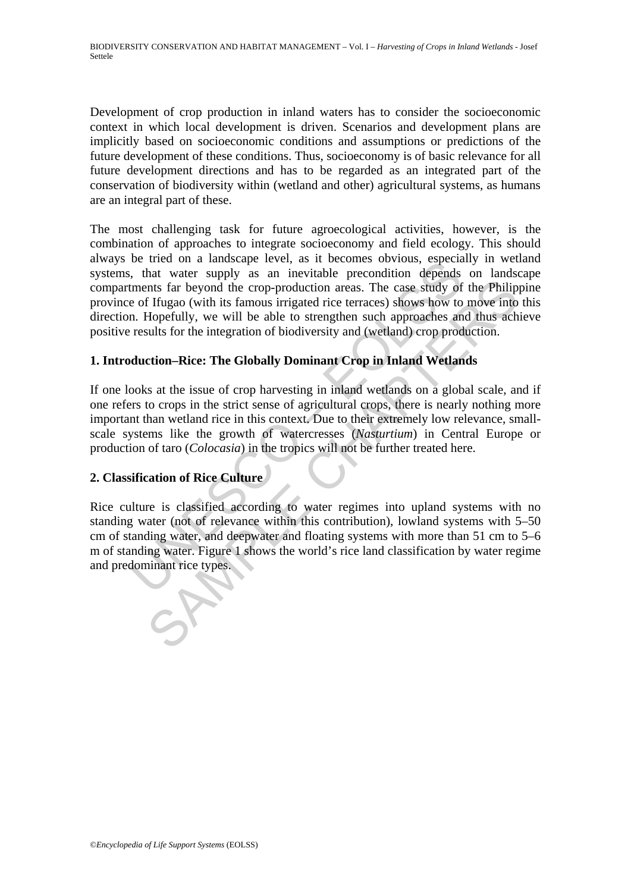Development of crop production in inland waters has to consider the socioeconomic context in which local development is driven. Scenarios and development plans are implicitly based on socioeconomic conditions and assumptions or predictions of the future development of these conditions. Thus, socioeconomy is of basic relevance for all future development directions and has to be regarded as an integrated part of the conservation of biodiversity within (wetland and other) agricultural systems, as humans are an integral part of these.

be tried on a landscape level, as a to eccule to sovotols, espectation and a landscape level, that water supply as an inevitable precondition depends terms from the erop-production reas. The case study of e of Ifugao (with The most challenging task for future agroecological activities, however, is the combination of approaches to integrate socioeconomy and field ecology. This should always be tried on a landscape level, as it becomes obvious, especially in wetland systems, that water supply as an inevitable precondition depends on landscape compartments far beyond the crop-production areas. The case study of the Philippine province of Ifugao (with its famous irrigated rice terraces) shows how to move into this direction. Hopefully, we will be able to strengthen such approaches and thus achieve positive results for the integration of biodiversity and (wetland) crop production.

# **1. Introduction–Rice: The Globally Dominant Crop in Inland Wetlands**

The state of the competition and state of the world's interest and the world's and be trop-production areas. The case study of the Philip I flugao (with its famous irrigated rice terraces) shows how to move into Hopefully, If one looks at the issue of crop harvesting in inland wetlands on a global scale, and if one refers to crops in the strict sense of agricultural crops, there is nearly nothing more important than wetland rice in this context. Due to their extremely low relevance, smallscale systems like the growth of watercresses (*Nasturtium*) in Central Europe or production of taro (*Colocasia*) in the tropics will not be further treated here.

## **2. Classification of Rice Culture**

Rice culture is classified according to water regimes into upland systems with no standing water (not of relevance within this contribution), lowland systems with 5–50 cm of standing water, and deepwater and floating systems with more than 51 cm to 5–6 m of standing water. Figure 1 shows the world's rice land classification by water regime and predominant rice types.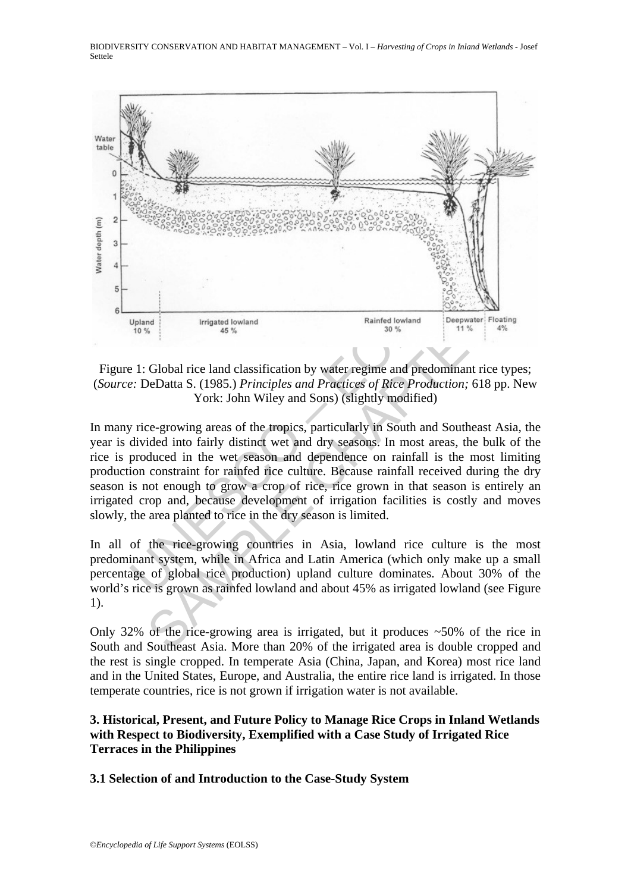

Figure 1: Global rice land classification by water regime and predominant rice types; (*Source:* DeDatta S. (1985.) *Principles and Practices of Rice Production;* 618 pp. New York: John Wiley and Sons) (slightly modified)

Upland<br>
Upland<br>
Upland<br>
Upland<br>
Irrigated lowland<br>
10%<br>
21: Global rice land classification by water regime and predomina<br>
2: DeDatta S. (1985.) Principles and Practices of Rice Production<br>
York: John Wiley and Sons) (sli Figure 1 Interacted lowland<br>
Integrated lowland<br>
Integrated lowland<br>
The date of the community of the rive of the rive of the rive of the rive of the rive of the rive of the rive of the rive of the rive of the rive of the In many rice-growing areas of the tropics, particularly in South and Southeast Asia, the year is divided into fairly distinct wet and dry seasons. In most areas, the bulk of the rice is produced in the wet season and dependence on rainfall is the most limiting production constraint for rainfed rice culture. Because rainfall received during the dry season is not enough to grow a crop of rice, rice grown in that season is entirely an irrigated crop and, because development of irrigation facilities is costly and moves slowly, the area planted to rice in the dry season is limited.

In all of the rice-growing countries in Asia, lowland rice culture is the most predominant system, while in Africa and Latin America (which only make up a small percentage of global rice production) upland culture dominates. About 30% of the world's rice is grown as rainfed lowland and about 45% as irrigated lowland (see Figure 1).

Only 32% of the rice-growing area is irrigated, but it produces  $\sim$  50% of the rice in South and Southeast Asia. More than 20% of the irrigated area is double cropped and the rest is single cropped. In temperate Asia (China, Japan, and Korea) most rice land and in the United States, Europe, and Australia, the entire rice land is irrigated. In those temperate countries, rice is not grown if irrigation water is not available.

## **3. Historical, Present, and Future Policy to Manage Rice Crops in Inland Wetlands with Respect to Biodiversity, Exemplified with a Case Study of Irrigated Rice Terraces in the Philippines**

## **3.1 Selection of and Introduction to the Case-Study System**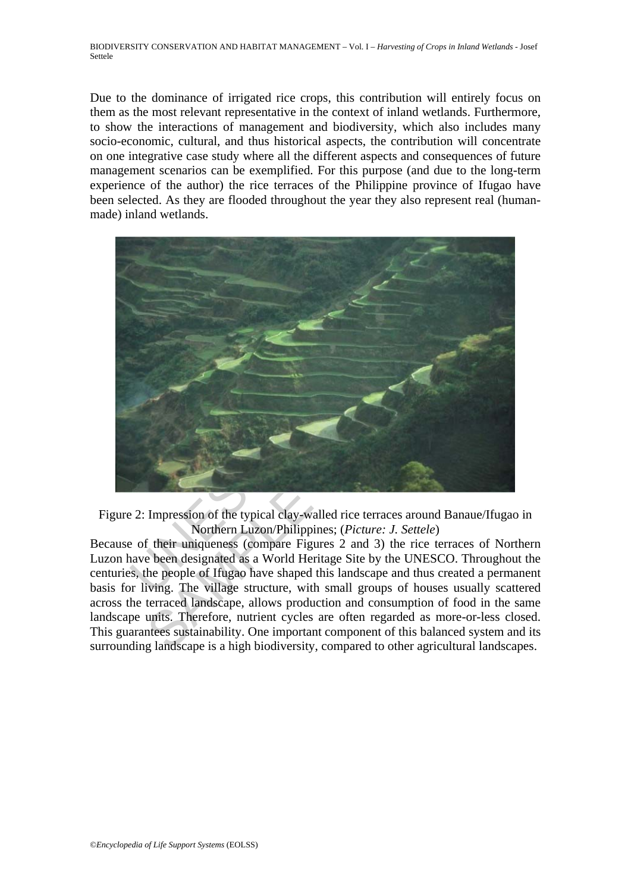Due to the dominance of irrigated rice crops, this contribution will entirely focus on them as the most relevant representative in the context of inland wetlands. Furthermore, to show the interactions of management and biodiversity, which also includes many socio-economic, cultural, and thus historical aspects, the contribution will concentrate on one integrative case study where all the different aspects and consequences of future management scenarios can be exemplified. For this purpose (and due to the long-term experience of the author) the rice terraces of the Philippine province of Ifugao have been selected. As they are flooded throughout the year they also represent real (humanmade) inland wetlands.



Figure 2: Impression of the typical clay-walled rice terraces around Banaue/Ifugao in Northern Luzon/Philippines; (*Picture: J. Settele*)

Because of their uniqueness (compare Figures 2 and 3) the rice terraces of Northern Luzon have been designated as a World Heritage Site by the UNESCO. Throughout the centuries, the people of Ifugao have shaped this landscape and thus created a permanent basis for living. The village structure, with small groups of houses usually scattered across the terraced landscape, allows production and consumption of food in the same landscape units. Therefore, nutrient cycles are often regarded as more-or-less closed. This guarantees sustainability. One important component of this balanced system and its surrounding landscape is a high biodiversity, compared to other agricultural landscapes.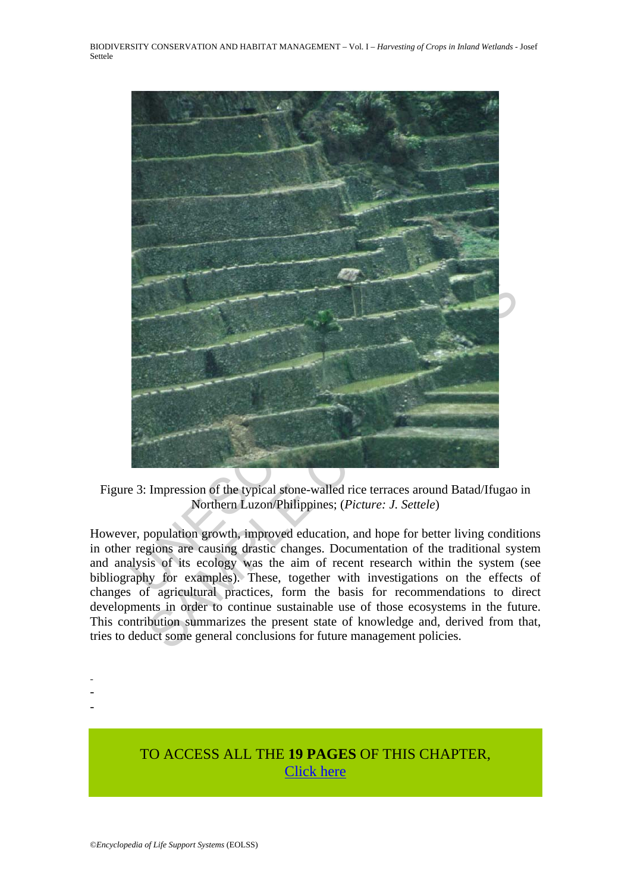

Figure 3: Impression of the typical stone-walled rice terraces around Batad/Ifugao in Northern Luzon/Philippines; (*Picture: J. Settele*)

However, population growth, improved education, and hope for better living conditions in other regions are causing drastic changes. Documentation of the traditional system and analysis of its ecology was the aim of recent research within the system (see bibliography for examples). These, together with investigations on the effects of changes of agricultural practices, form the basis for recommendations to direct developments in order to continue sustainable use of those ecosystems in the future. This contribution summarizes the present state of knowledge and, derived from that, tries to deduct some general conclusions for future management policies.

- -
- -
- -

# TO ACCESS ALL THE **19 PAGES** OF THIS CHAPTER, [Click here](https://www.eolss.net/ebooklib/sc_cart.aspx?File=E1-67-04-03)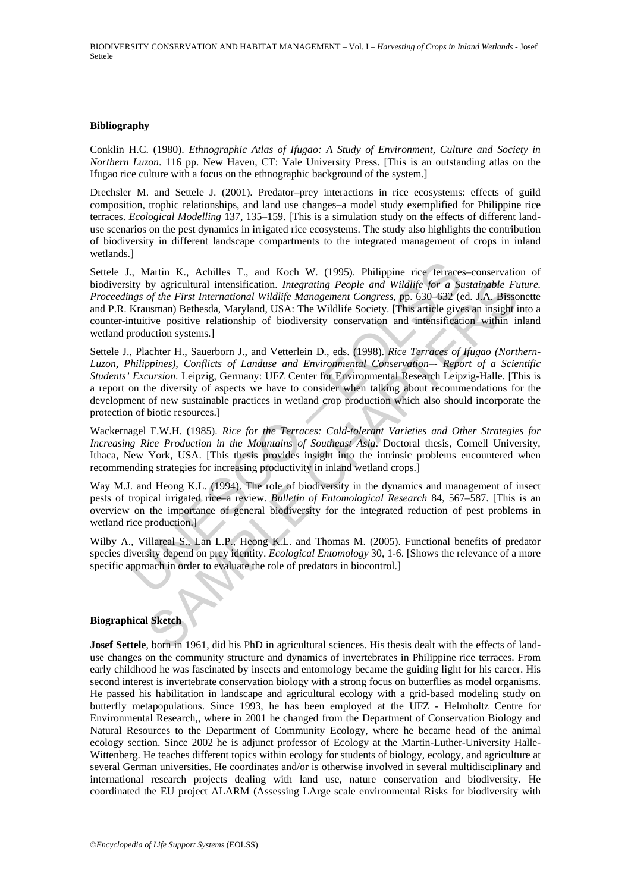#### **Bibliography**

Conklin H.C. (1980). *Ethnographic Atlas of Ifugao: A Study of Environment, Culture and Society in Northern Luzon*. 116 pp. New Haven, CT: Yale University Press. [This is an outstanding atlas on the Ifugao rice culture with a focus on the ethnographic background of the system.]

Drechsler M. and Settele J. (2001). Predator–prey interactions in rice ecosystems: effects of guild composition, trophic relationships, and land use changes–a model study exemplified for Philippine rice terraces. *Ecological Modelling* 137, 135–159. [This is a simulation study on the effects of different landuse scenarios on the pest dynamics in irrigated rice ecosystems. The study also highlights the contribution of biodiversity in different landscape compartments to the integrated management of crops in inland wetlands.]

., Martin K., Achilles T., and Koch W. (1995). Philippine rice terraces<br>ity by agricultural intensification. *Integrating People and Wildlife for a Suggs of the First International Wildlife Management Congress, pp. 630-632* Settele J., Martin K., Achilles T., and Koch W. (1995). Philippine rice terraces–conservation of biodiversity by agricultural intensification. *Integrating People and Wildlife for a Sustainable Future. Proceedings of the First International Wildlife Management Congress*, pp. 630–632 (ed. J.A. Bissonette and P.R. Krausman) Bethesda, Maryland, USA: The Wildlife Society. [This article gives an insight into a counter-intuitive positive relationship of biodiversity conservation and intensification within inland wetland production systems.]

by agricultural intensification. *Integrating People and Wildlife for a Sustainable Fustrial intensificational Wildlife Maragement Congress, pp. 630-6a3 (ed. 1,A. Bisson Sustain Intensification Sustain Intensification Sust* Settele J., Plachter H., Sauerborn J., and Vetterlein D., eds. (1998). *Rice Terraces of Ifugao (Northern-Luzon, Philippines), Conflicts of Landuse and Environmental Conservation–- Report of a Scientific Students' Excursion*. Leipzig, Germany: UFZ Center for Environmental Research Leipzig-Halle. [This is a report on the diversity of aspects we have to consider when talking about recommendations for the development of new sustainable practices in wetland crop production which also should incorporate the protection of biotic resources.]

Wackernagel F.W.H. (1985). *Rice for the Terraces: Cold-tolerant Varieties and Other Strategies for Increasing Rice Production in the Mountains of Southeast Asia*. Doctoral thesis, Cornell University, Ithaca, New York, USA. [This thesis provides insight into the intrinsic problems encountered when recommending strategies for increasing productivity in inland wetland crops.]

Way M.J. and Heong K.L. (1994). The role of biodiversity in the dynamics and management of insect pests of tropical irrigated rice–a review. *Bulletin of Entomological Research* 84, 567–587. [This is an overview on the importance of general biodiversity for the integrated reduction of pest problems in wetland rice production.]

Wilby A., Villareal S., Lan L.P., Heong K.L. and Thomas M. (2005). Functional benefits of predator species diversity depend on prey identity. *Ecological Entomology* 30, 1-6. [Shows the relevance of a more specific approach in order to evaluate the role of predators in biocontrol.]

#### **Biographical Sketch**

**Josef Settele**, born in 1961, did his PhD in agricultural sciences. His thesis dealt with the effects of landuse changes on the community structure and dynamics of invertebrates in Philippine rice terraces. From early childhood he was fascinated by insects and entomology became the guiding light for his career. His second interest is invertebrate conservation biology with a strong focus on butterflies as model organisms. He passed his habilitation in landscape and agricultural ecology with a grid-based modeling study on butterfly metapopulations. Since 1993, he has been employed at the UFZ - Helmholtz Centre for Environmental Research,, where in 2001 he changed from the Department of Conservation Biology and Natural Resources to the Department of Community Ecology, where he became head of the animal ecology section. Since 2002 he is adjunct professor of Ecology at the Martin-Luther-University Halle-Wittenberg. He teaches different topics within ecology for students of biology, ecology, and agriculture at several German universities. He coordinates and/or is otherwise involved in several multidisciplinary and international research projects dealing with land use, nature conservation and biodiversity. He coordinated the EU project ALARM (Assessing LArge scale environmental Risks for biodiversity with